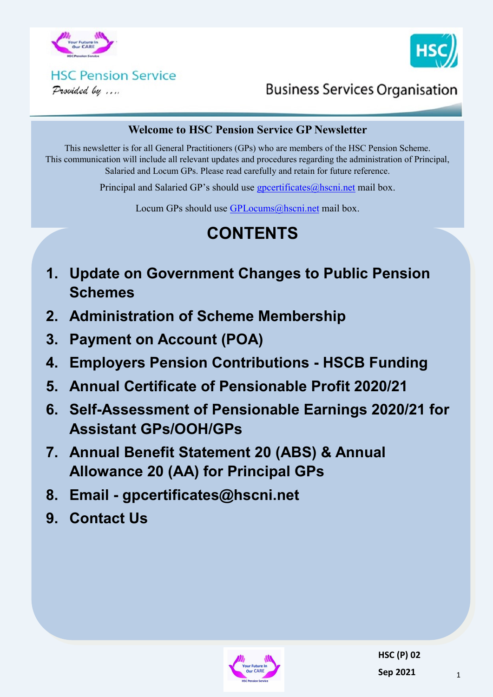



#### **HSC Pension Service** Provided by ....

**Business Services Organisation** 

#### **Welcome to HSC Pension Service GP Newsletter**

This newsletter is for all General Practitioners (GPs) who are members of the HSC Pension Scheme. This communication will include all relevant updates and procedures regarding the administration of Principal, Salaried and Locum GPs. Please read carefully and retain for future reference.

Principal and Salaried GP's should use [gpcertificates@hscni.net](mailto:gpcertificates@hscni.net) mail box.

Locum GPs should use [GPLocums@hscni.net](mailto:GPLocums@hscni.net) mail box.

# **CONTENTS**

- **1. Update on Government Changes to Public Pension Schemes**
- **2. Administration of Scheme Membership**
- **3. Payment on Account (POA)**
- **4. Employers Pension Contributions - HSCB Funding**
- **5. Annual Certificate of Pensionable Profit 2020/21**
- **6. Self-Assessment of Pensionable Earnings 2020/21 for Assistant GPs/OOH/GPs**
- **7. Annual Benefit Statement 20 (ABS) & Annual Allowance 20 (AA) for Principal GPs**
- **8. Email - gpcertificates@hscni.net**
- **9. Contact Us**

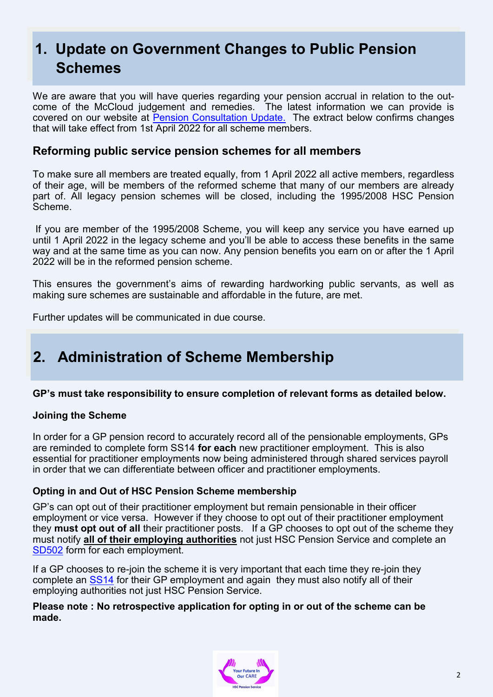## **1. Update on Government Changes to Public Pension Schemes**

We are aware that you will have queries regarding your pension accrual in relation to the outcome of the McCloud judgement and remedies. The latest information we can provide is covered on our website at [Pension Consultation Update.](http://www.hscpensions.hscni.net/wp-content/uploads/2021/03/Pension-Consultation-Update.pdf) The extract below confirms changes that will take effect from 1st April 2022 for all scheme members.

#### **Reforming public service pension schemes for all members**

To make sure all members are treated equally, from 1 April 2022 all active members, regardless of their age, will be members of the reformed scheme that many of our members are already part of. All legacy pension schemes will be closed, including the 1995/2008 HSC Pension Scheme.

If you are member of the 1995/2008 Scheme, you will keep any service you have earned up until 1 April 2022 in the legacy scheme and you'll be able to access these benefits in the same way and at the same time as you can now. Any pension benefits you earn on or after the 1 April 2022 will be in the reformed pension scheme.

This ensures the government's aims of rewarding hardworking public servants, as well as making sure schemes are sustainable and affordable in the future, are met.

Further updates will be communicated in due course.

### **2. Administration of Scheme Membership**

#### **GP's must take responsibility to ensure completion of relevant forms as detailed below.**

#### **Joining the Scheme**

In order for a GP pension record to accurately record all of the pensionable employments, GPs are reminded to complete form SS14 **for each** new practitioner employment. This is also essential for practitioner employments now being administered through shared services payroll in order that we can differentiate between officer and practitioner employments.

#### **Opting in and Out of HSC Pension Scheme membership**

GP's can opt out of their practitioner employment but remain pensionable in their officer employment or vice versa. However if they choose to opt out of their practitioner employment they **must opt out of all** their practitioner posts. If a GP chooses to opt out of the scheme they must notify **all of their employing authorities** not just HSC Pension Service and complete an [SD502](http://www.hscpensions.hscni.net/wp-content/uploads/2021/03/SD502-6.pdf) form for each employment.

If a GP chooses to re-join the scheme it is very important that each time they re-join they complete an [SS14](http://www.hscpensions.hscni.net/download/Scheme%20Forms/SS14-Oct-18-1.pdf) for their GP employment and again they must also notify all of their employing authorities not just HSC Pension Service.

#### **Please note : No retrospective application for opting in or out of the scheme can be made.**

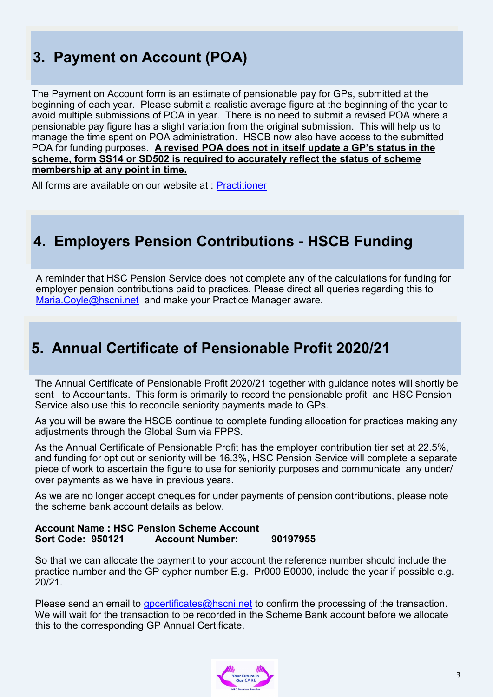## **3. Payment on Account (POA)**

The Payment on Account form is an estimate of pensionable pay for GPs, submitted at the beginning of each year. Please submit a realistic average figure at the beginning of the year to avoid multiple submissions of POA in year. There is no need to submit a revised POA where a pensionable pay figure has a slight variation from the original submission. This will help us to manage the time spent on POA administration. HSCB now also have access to the submitted POA for funding purposes. **A revised POA does not in itself update a GP's status in the scheme, form SS14 or SD502 is required to accurately reflect the status of scheme membership at any point in time.**

All forms are available on our website at : [Practitioner](http://www.hscpensions.hscni.net/hscpensions/practitioners/principal-2/)

### **4. Employers Pension Contributions - HSCB Funding**

A reminder that HSC Pension Service does not complete any of the calculations for funding for employer pension contributions paid to practices. Please direct all queries regarding this to [Maria.Coyle@hscni.net](mailto:Maria.Coyle@hscni.net) and make your Practice Manager aware.

### **5. Annual Certificate of Pensionable Profit 2020/21**

The Annual Certificate of Pensionable Profit 2020/21 together with guidance notes will shortly be sent to Accountants. This form is primarily to record the pensionable profit and HSC Pension Service also use this to reconcile seniority payments made to GPs.

As you will be aware the HSCB continue to complete funding allocation for practices making any adjustments through the Global Sum via FPPS.

As the Annual Certificate of Pensionable Profit has the employer contribution tier set at 22.5%, and funding for opt out or seniority will be 16.3%, HSC Pension Service will complete a separate piece of work to ascertain the figure to use for seniority purposes and communicate any under/ over payments as we have in previous years.

As we are no longer accept cheques for under payments of pension contributions, please note the scheme bank account details as below.

#### **Account Name : HSC Pension Scheme Account Sort Code: 950121 Account Number: 90197955**

So that we can allocate the payment to your account the reference number should include the practice number and the GP cypher number E.g. Pr000 E0000, include the year if possible e.g. 20/21.

Please send an email to [gpcertificates@hscni.net](mailto:gpcertificates@hscni.net) to confirm the processing of the transaction. We will wait for the transaction to be recorded in the Scheme Bank account before we allocate this to the corresponding GP Annual Certificate.

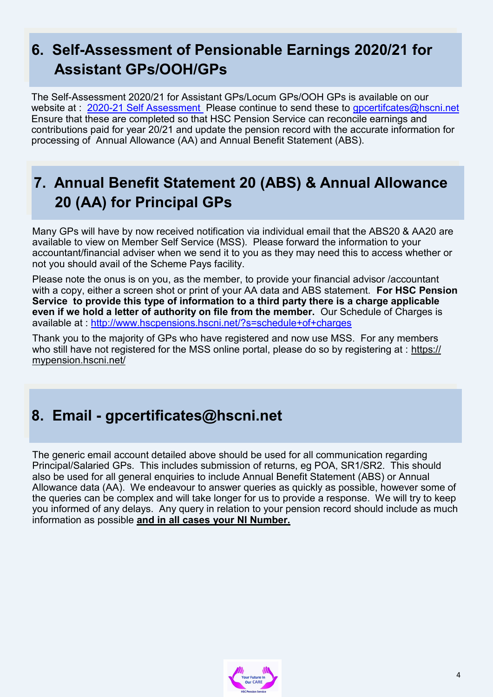## **6. Self-Assessment of Pensionable Earnings 2020/21 for Assistant GPs/OOH/GPs**

The Self-Assessment 2020/21 for Assistant GPs/Locum GPs/OOH GPs is available on our website at : 2020-[21 Self Assessment P](http://www.hscpensions.hscni.net/hscpensions/practitioners/salaried-3/)lease continue to send these to apcertifcates@hscni.net Ensure that these are completed so that HSC Pension Service can reconcile earnings and contributions paid for year 20/21 and update the pension record with the accurate information for processing of Annual Allowance (AA) and Annual Benefit Statement (ABS).

## **7. Annual Benefit Statement 20 (ABS) & Annual Allowance 20 (AA) for Principal GPs**

Many GPs will have by now received notification via individual email that the ABS20 & AA20 are available to view on Member Self Service (MSS). Please forward the information to your accountant/financial adviser when we send it to you as they may need this to access whether or not you should avail of the Scheme Pays facility.

Please note the onus is on you, as the member, to provide your financial advisor /accountant with a copy, either a screen shot or print of your AA data and ABS statement. **For HSC Pension Service to provide this type of information to a third party there is a charge applicable even if we hold a letter of authority on file from the member.** Our Schedule of Charges is available at : <http://www.hscpensions.hscni.net/?s=schedule+of+charges>

Thank you to the majority of GPs who have registered and now use MSS. For any members who still have not registered for the MSS online portal, please do so by registering at : [https://](https://mypension.hscni.net/) [mypension.hscni.net/](https://mypension.hscni.net/)

### **8. Email - gpcertificates@hscni.net**

The generic email account detailed above should be used for all communication regarding Principal/Salaried GPs. This includes submission of returns, eg POA, SR1/SR2. This should also be used for all general enquiries to include Annual Benefit Statement (ABS) or Annual Allowance data (AA). We endeavour to answer queries as quickly as possible, however some of the queries can be complex and will take longer for us to provide a response. We will try to keep you informed of any delays. Any query in relation to your pension record should include as much information as possible **and in all cases your NI Number.**